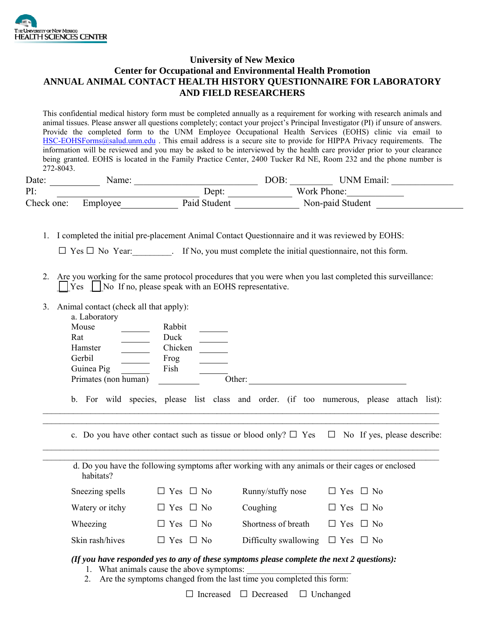

## **University of New Mexico Center for Occupational and Environmental Health Promotion ANNUAL ANIMAL CONTACT HEALTH HISTORY QUESTIONNAIRE FOR LABORATORY AND FIELD RESEARCHERS**

This confidential medical history form must be completed annually as a requirement for working with research animals and animal tissues. Please answer all questions completely; contact your project's Principal Investigator (PI) if unsure of answers. Provide the completed form to the UNM Employee Occupational Health Services (EOHS) clinic via email to HSC-EOHSForms@salud.unm.edu . This email address is a secure site to provide for HIPPA Privacy requirements. The information will be reviewed and you may be asked to be interviewed by the health care provider prior to your clearance being granted. EOHS is located in the Family Practice Center, 2400 Tucker Rd NE, Room 232 and the phone number is 272-8043.

| Date:      | Name:    |              | DOB: | 'JNM Email:      |  |
|------------|----------|--------------|------|------------------|--|
| PI:        |          | Dept:        |      | Work Phone:      |  |
| Check one: | Employee | Paid Student |      | Non-paid Student |  |

1. I completed the initial pre-placement Animal Contact Questionnaire and it was reviewed by EOHS:

| $\Box$ Yes $\Box$ No Year: | If No, you must complete the initial question aire, not this form. |  |
|----------------------------|--------------------------------------------------------------------|--|
|----------------------------|--------------------------------------------------------------------|--|

- 2. Are you working for the same protocol procedures that you were when you last completed this surveillance: \_\_\_Yes \_\_\_No If no, please speak with an EOHS representative.
- 3. Animal contact (check all that apply):

| a. Laboratory        |         |        |  |  |
|----------------------|---------|--------|--|--|
| Mouse                | Rabbit  |        |  |  |
| Rat                  | Duck    |        |  |  |
| Hamster              | Chicken |        |  |  |
| Gerbil               | Frog    |        |  |  |
| Guinea Pig           | Fish    |        |  |  |
| Primates (non human) |         | Other: |  |  |
|                      |         |        |  |  |

b. For wild species, please list class and order. (if too numerous, please attach list):

 $\mathcal{L}_\mathcal{L} = \mathcal{L}_\mathcal{L} = \mathcal{L}_\mathcal{L} = \mathcal{L}_\mathcal{L} = \mathcal{L}_\mathcal{L} = \mathcal{L}_\mathcal{L} = \mathcal{L}_\mathcal{L} = \mathcal{L}_\mathcal{L} = \mathcal{L}_\mathcal{L} = \mathcal{L}_\mathcal{L} = \mathcal{L}_\mathcal{L} = \mathcal{L}_\mathcal{L} = \mathcal{L}_\mathcal{L} = \mathcal{L}_\mathcal{L} = \mathcal{L}_\mathcal{L} = \mathcal{L}_\mathcal{L} = \mathcal{L}_\mathcal{L}$  $\_$ 

c. Do you have other contact such as tissue or blood only?  $\Box$  Yes  $\Box$  No If yes, please describe:

d. Do you have the following symptoms after working with any animals or their cages or enclosed habitats? Sneezing spells  $\square$  Yes  $\square$  No Runny/stuffy nose  $\square$  Yes  $\square$  No Watery or itchy  $\Box$  Yes  $\Box$  No  $\Box$  Coughing  $\Box$  Yes  $\Box$  No Wheezing  $\square$  Yes  $\square$  No Shortness of breath  $\square$  Yes  $\square$  No Skin rash/hives  $\Box$  Yes  $\Box$  No Difficulty swallowing  $\Box$  Yes  $\Box$  No

## *(If you have responded yes to any of these symptoms please complete the next 2 questions):*

- 1. What animals cause the above symptoms:
- 2. Are the symptoms changed from the last time you completed this form:

□ Increased □ Decreased □ Unchanged